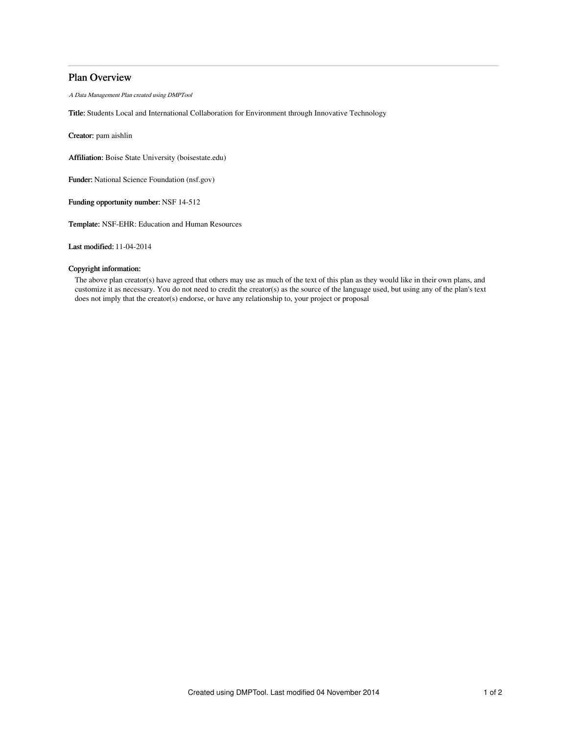# Plan Overview

A Data Management Plan created using DMPTool

Title: Students Local and International Collaboration for Environment through Innovative Technology

Creator: pam aishlin

Affiliation: Boise State University (boisestate.edu)

Funder: National Science Foundation (nsf.gov)

Funding opportunity number: NSF 14-512

Template: NSF-EHR: Education and Human Resources

Last modified: 11-04-2014

## Copyright information:

The above plan creator(s) have agreed that others may use as much of the text of this plan as they would like in their own plans, and customize it as necessary. You do not need to credit the creator(s) as the source of the language used, but using any of the plan's text does not imply that the creator(s) endorse, or have any relationship to, your project or proposal